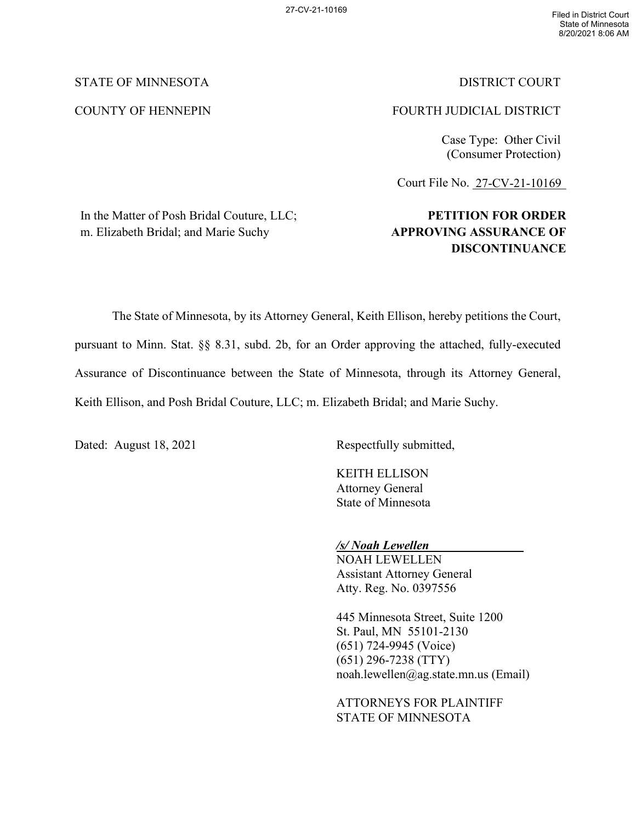# STATE OF MINNESOTA DISTRICT COURT

# COUNTY OF HENNEPIN FOURTH JUDICIAL DISTRICT

Case Type: Other Civil (Consumer Protection)

Court File No. 27-CV-21-10169

# In the Matter of Posh Bridal Couture, LLC; m. Elizabeth Bridal; and Marie Suchy

# **PETITION FOR ORDER APPROVING ASSURANCE OF DISCONTINUANCE**

The State of Minnesota, by its Attorney General, Keith Ellison, hereby petitions the Court, pursuant to Minn. Stat. §§ 8.31, subd. 2b, for an Order approving the attached, fully-executed Assurance of Discontinuance between the State of Minnesota, through its Attorney General, Keith Ellison, and Posh Bridal Couture, LLC; m. Elizabeth Bridal; and Marie Suchy.

Dated: August 18, 2021 Respectfully submitted,

KEITH ELLISON Attorney General State of Minnesota

# */s/ Noah Lewellen*

NOAH LEWELLEN Assistant Attorney General Atty. Reg. No. 0397556

445 Minnesota Street, Suite 1200 St. Paul, MN 55101-2130 (651) 724-9945 (Voice) (651) 296-7238 (TTY) noah.lewellen@ag.state.mn.us (Email)

ATTORNEYS FOR PLAINTIFF STATE OF MINNESOTA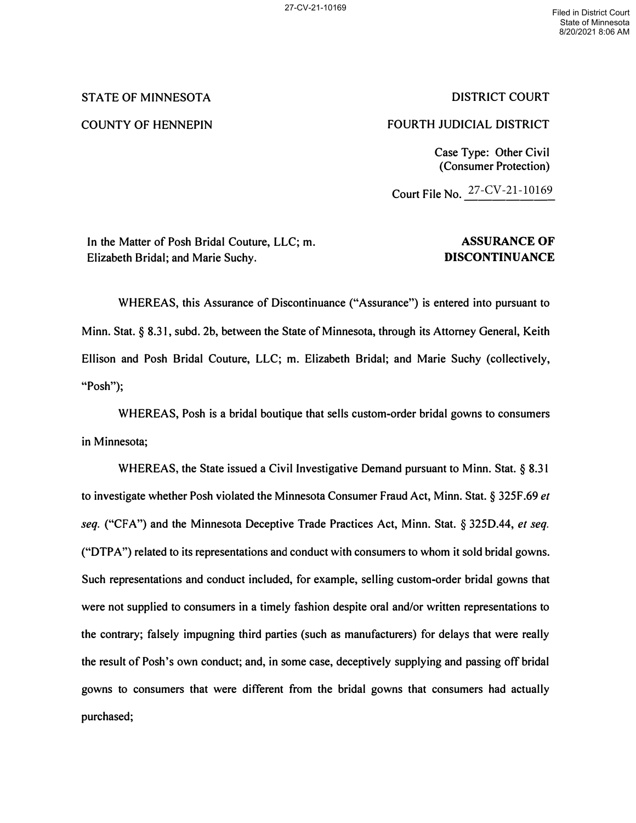# **STATE OF MINNESOTA**

## **COUNTY OF HENNEPIN**

# **DISTRICT COURT**

# **FOURTH JUDICIAL DISTRICT**

**Case Type: Other Civil (Consumer Protection)** 

**Court File No.** 27-CV-21-10169

**In the Matter of Posh Bridal Couture, LLC; m. Elizabeth Bridal; and Marie Suchy.** 

# **ASSURANCE OF DISCONTINUANCE**

**WHEREAS, this Assurance of Discontinuance ("Assurance") is entered into pursuant to Minn. Stat.§ 8.31, subd. 2b, between the State of Minnesota, through its Attorney General, Keith Ellison and Posh Bridal Couture, LLC; m. Elizabeth Bridal; and Marie Suchy (collectively, "Posh");** 

**WHEREAS, Posh is a bridal boutique that sells custom-order bridal gowns to consumers in Minnesota;** 

**WHEREAS, the State issued a Civil Investigative Demand pursuant to Minn. Stat. § 8.31 to investigate whether Posh violated the Minnesota Consumer Fraud Act, Minn. Stat.§ 325F.69** *et seq.* **("CFA") and the Minnesota Deceptive Trade Practices Act, Minn. Stat.** *§* **325D.44,** *et seq.*  **("DTPA") related to its representations and conduct with consumers to whom it sold bridal gowns. Such representations and conduct included, for example, selling custom-order bridal gowns that were not supplied to consumers in a timely fashion despite oral and/or written representations to the contrary; falsely impugning third parties (such as manufacturers) for delays that were really the result of Posh's own conduct; and, in some case, deceptively supplying and passing off bridal gowns to consumers that were different from the bridal gowns that consumers had actually purchased;**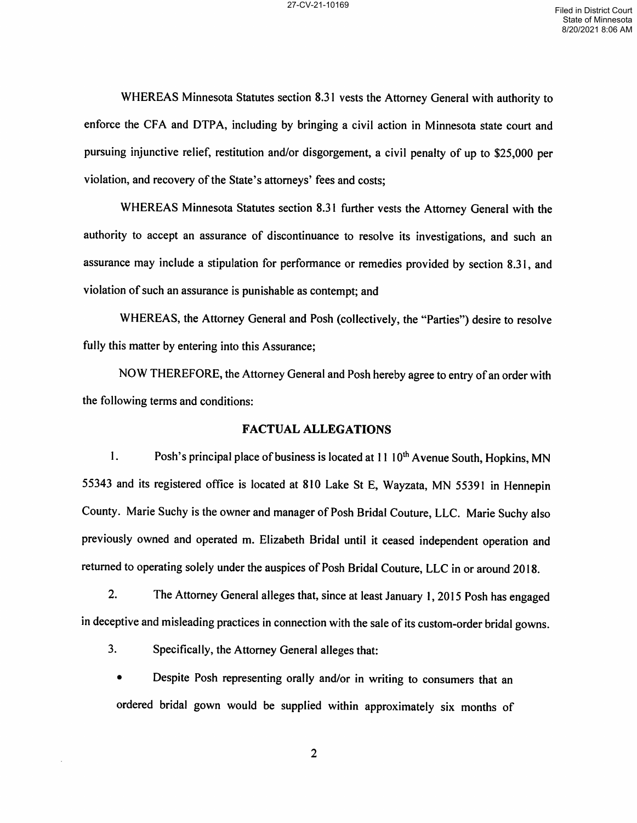WHEREAS Minnesota Statutes section 8.3] vests the Attorney General with authority to enforce the CFA and DTPA, including by bringing a civil action in Minnesota state court and pursuing injunctive relief, restitution and/or disgorgement, a civil penalty of up to \$25,000 per violation, and recovery of the State's attorneys' fees and costs;

WHEREAS Minnesota Statutes section 8.31 further vests the Attorney General with the authority to accept an assurance of discontinuance to resolve its investigations, and such an assurance may include a stipulation for performance or remedies provided by section 8.31, and violation of such an assurance is punishable as contempt; and

WHEREAS, the Attorney General and Posh (collectively, the "Parties") desire to resolve fully this matter by entering into this Assurance;

NOW THEREFORE, the Attorney General and Posh hereby agree to entry of an order with the following terms and conditions:

#### FACTUAL ALLEGATIONS

1. Posh's principal place of business is located at  $11 \, 10^{th}$  Avenue South, Hopkins, MN <sup>55343</sup> and its registered office is located at <sup>810</sup> Lake St E, Wayzata, MN <sup>55391</sup> in Hennepin County. Marie Suchy is the owner and manager of Posh Bridal Couture, LLC. Marie Suchy also previously owned and operated m. Elizabeth Bridal until it ceased independent operation and returned to operating solely under the auspices of Posh Bridal Couture, LLC in or around 2018.

2. The Attorney General alleges that, since at least January l, <sup>2015</sup> Posh has engaged in deceptive and misleading practices in connection with the sale of its custom-order bridal gowns.

3. Specifically, the Attorney General alleges that:

Despite Posh representing orally and/or in writing to consumers that an ordered bridal gown would be supplied within approximately six months of

 $\overline{2}$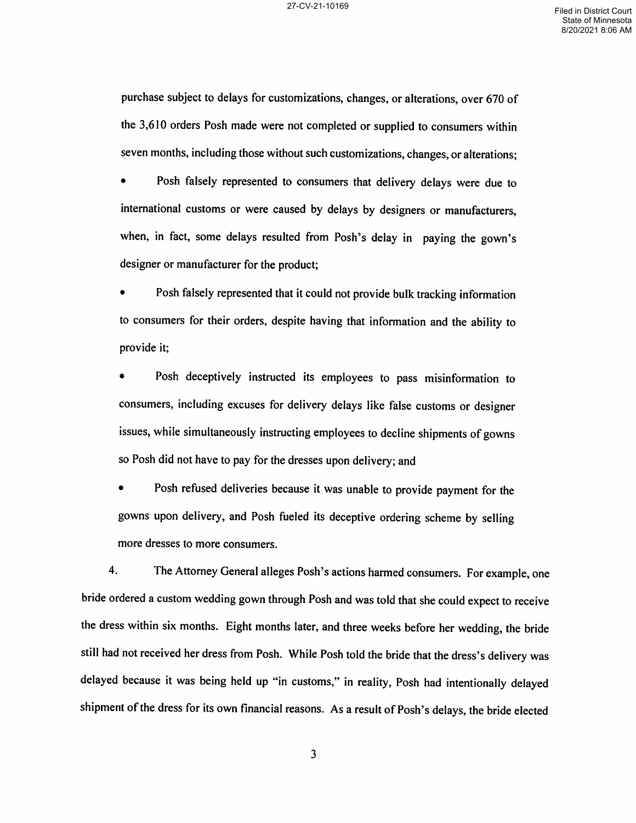purchase subject to delays for customizations, changes, or alterations, over 670 of the 3,610 orders Posh made were not completed or supplied to consumers within seven months, including those without such customizations, changes, or alterations;

Posh falsely represented to consumers that delivery delays were due to international customs or were caused by delays by designers or manufacturers, when, in fact, some delays resulted from Posh's delay in paying the gown's designer or manufacturer for the product;

Posh falsely represented that it could not provide bulk tracking information to consumers for their orders, despite having that information and the ability to provide it;

Posh deceptively instructed its employees to pass misinformation to consumers, including excuses for delivery delays like false customs or designer issues, while simultaneously instructing employees to decline shipments of gowns so Posh did not have to pay for the dresses upon delivery; and

Posh refused deliveries because it was unable to provide payment for the gowns upon delivery, and Posh fueled its deceptive ordering scheme by selling more dresses to more consumers.

4. The Attorney General alleges Posh's actions harmed consumers. For example, one bride ordered a custom wedding gown through Posh and was told that she could expect to receive the dress within six months. Eight months later, and three weeks before her wedding, the bride still had not received her dress from Posh. While Posh told the bride that the dress's delivery was delayed because it was being held up "in customs," in reality, Posh had intentionally delayed shipment of the dress for its own financial reasons. As a result of Posh's delays, the bride elected

 $\overline{3}$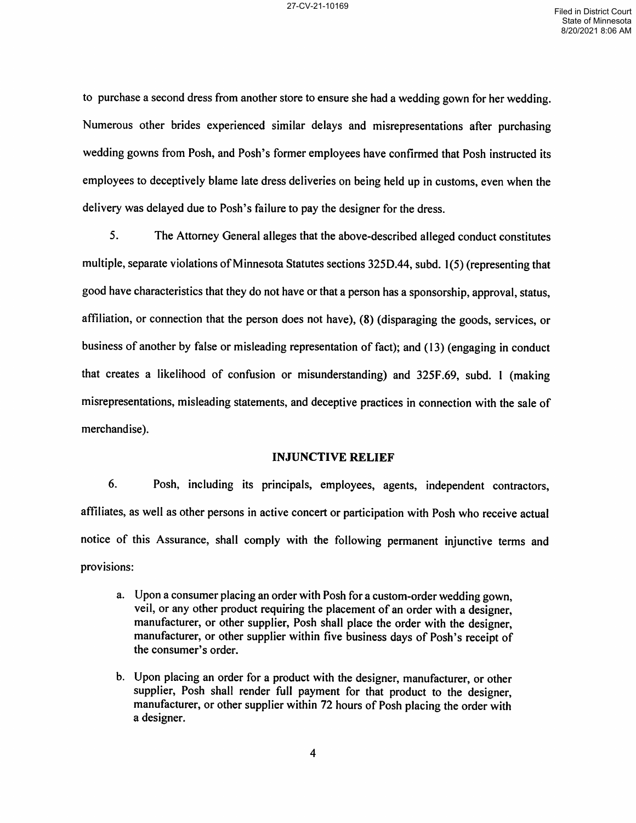to purchase a second dress from another store to ensure she had a wedding gown for her wedding. Numerous other brides experienced similar delays and misrepresentations afier purchasing wedding gowns from Posh, and Posh's former employees have confirmed that Posh instructed its employees to deceptively blame late dress deliveries on being held up in customs, even when the delivery was delayed due to Posh's failure to pay the designer for the dress.

5. The Attorney General alleges that the above-described alleged conduct constitutes 5. The Attorney General alleges that the above-described alleged conduct constitutes<br>multiple, separate violations of Minnesota Statutes sections 325D.44, subd. 1(5) (representing that good have characteristics that they do not have or that a person has a sponsorship, approval, status, affiliation, or connection that the person does not have), (8) (disparaging the goods, services, or business of another by false or misleading representation of fact); and (13) (engaging in conduct that creates a likelihood of confusion or misunderstanding) and 325F.69, subd. 1 (making misrepresentations, misleading statements, and deceptive practices in connection with the sale of merchandise).

#### INJUNCTIVE RELIEF

6. Posh, including its principals, employees, agents, independent contractors, affiliates, as well as other persons in active concert or participation with Posh who receive actual notice of this Assurance, shall comply with the following permanent injunctive terms and provisions:

- a. Upon a consumer placing an order with Posh for a custom-order wedding gown, veil, or any other product requiring the placement of an order with a designer, manufacturer, or other supplier, Posh shall place the order with the designer, manufacturer, or other supplier within five business days of Posh's receipt of the consumer's order.
- b. Upon placing an order for a product with the designer, manufacturer, or other supplier, Posh shall render full payment for that product to the designer, manufacturer, or other supplier within <sup>72</sup> hours of Posh placing the order with a designer.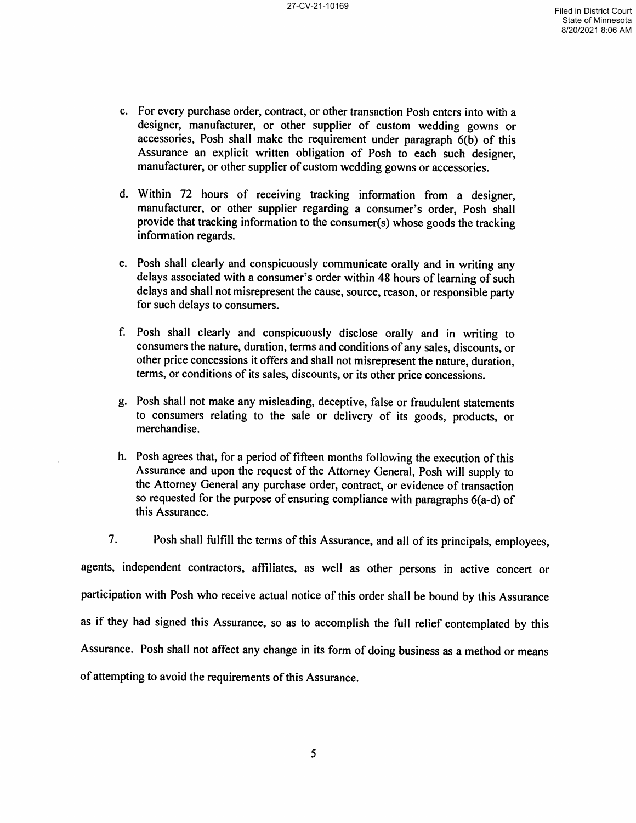- c. For every purchase order, contract, or other transaction Posh enters into with a designer, manufacturer, or other supplier of custom wedding gowns or accessories, Posh shall make the requirement under paragraph  $6(b)$  of this Assurance an explicit written obligation of Posh to each such designer, manufacturer, or other supplier of custom wedding gowns or accessories.
- d. Within 72 hours of receiving tracking information from a designer, manufacturer, or other supplier regarding a consumer's order, Posh shall provide that tracking information to the consumer(s) whose goods the tracking information regards.
- e. Posh shall clearly and conspicuously communicate orally and in writing any delays associated with a consumer's order within 48 hours of learning of such delays and shall not misrepresent the cause, source, reason, or responsible party for such delays to consumers.
- f. Posh shall clearly and conspicuously disclose orally and in writing to consumers the nature, duration, terms and conditions of any sales, discounts, or other price concessions it offers and shall not misrepresent the nature, duration, terms, or conditions of its sales, discounts, or its other price concessions.
- g. Posh shall not make any misleading, deceptive, false or fraudulent statements to consumers relating to the sale or delivery of its goods, products, or merchandise.
- h. Posh agrees that, for a period of fifteen months following the execution of this Assurance and upon the request of the Attorney General, Posh will supply to the Attorney General any purchase order, contract, or evidence of transaction so requested for the purpose of ensuring compliance with paragraphs 6(a-d) of this Assurance.

7. Posh shall fulfill the terms of this Assurance, and all of its principals, employees,

agents, independent contractors, affiliates, as well as other persons in active concert or participation with Posh who receive actual notice of this order shall be bound by this Assurance as if they had signed this Assurance, so as to accomplish the full relief contemplated by this Assurance. Posh shall not affect any change in its form of doing business as a method or means of attempting to avoid the requirements of this Assurance.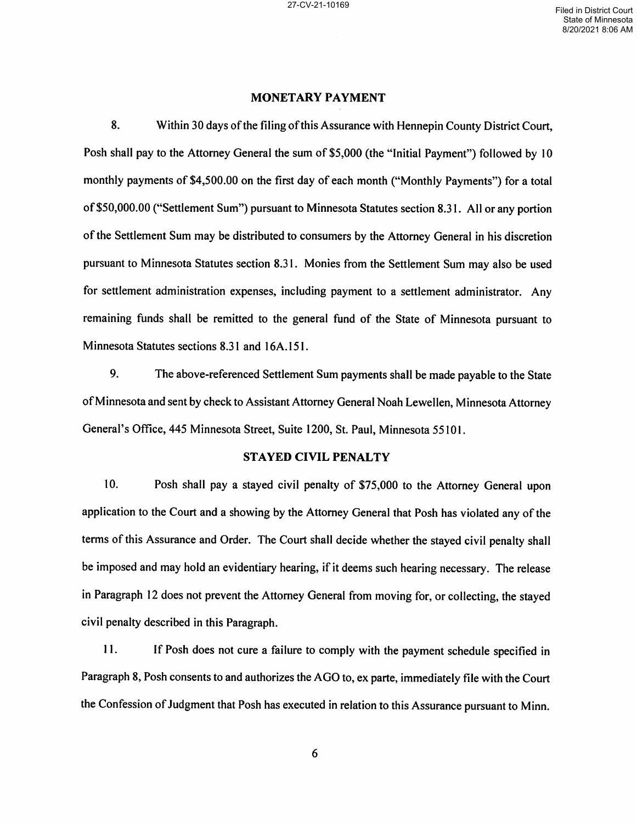#### MONETARY PAYMENT

8. Within 30 days of the filing of this Assurance with Hennepin County District Court, Posh shall pay to the Attorney General the sum of \$5,000 (the "Initial Payment") followed by <sup>10</sup> monthly payments of \$4,500.00 on the first day of each month ("Monthly Payments") for a total of \$50,000.00 ("Settlement Sum") pursuant to Minnesota Statutes section 8.31. All or any portion of the Settlement Sum may be distributed to consumers by the Attorney General in his discretion pursuant to Minnesota Statutes section 8.31. Monies from the Settlement Sum may also be used for settlement administration expenses, including payment to a settlement administrator. Any remaining funds shall be remitted to the general fund of the State of Minnesota pursuant to Minnesota Statutes sections 8.31 and 16A.151.

9. The above-referenced Settlement Sum payments shall be made payable to the State of Minnesota and sent by check to Assistant Attorney General Noah Lewellen, Minnesota Attorney General's Office, 445 Minnesota Street, Suite 1200, St. Paul, Minnesota 55101.

#### STAYED CIVIL PENALTY

10. Posh shall pay a stayed civil penalty of \$75,000 to the Attorney General upon application to the Court and a showing by the Attorney General that Posh has violated any of the terms of this Assurance and Order. The Court shall decide whether the stayed civil penalty shall be imposed and may hold an evidentiary hearing, if it deems such hearing necessary. The release in Paragraph <sup>12</sup> does not prevent the Attorney General from moving for, or collecting, the stayed civil penalty described in this Paragraph.

11. If Posh does not cure a failure to comply with the payment schedule specified in Paragraph 8, Posh consents to and authorizes the AGO to, ex parte, immediately file with the Court the Confession of Judgment that Posh has executed in relation to this Assurance pursuant to Minn.

6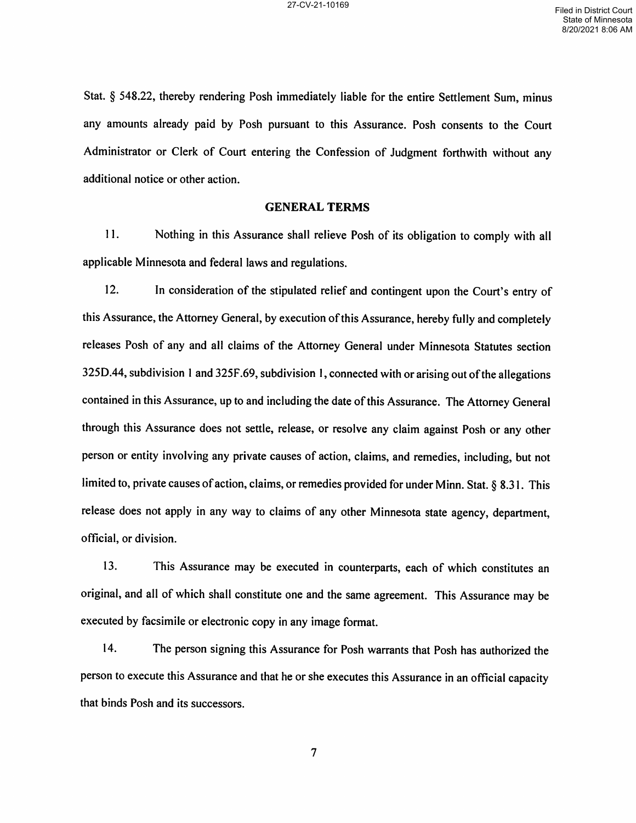Stat. § 548.22, thereby rendering Posh immediately liable for the entire Settlement Sum, minus any amounts already paid by Posh pursuant to this Assurance. Posh consents to the Court Administrator or Clerk of Court entering the Confession of Judgment forthwith without any additional notice or other action.

#### GENERAL TERMS

ll. Nothing in this Assurance shall relieve Posh of its obligation to comply with all applicable Minnesota and federal laws and regulations.

12. In consideration of the stipulated relief and contingent upon the Court's entry of this Assurance, the Attorney General, by execution of this Assurance, hereby fully and completely releases Posh of any and all claims of the Attorney General under Minnesota Statutes section 325D.44, subdivision 1 and 325F.69, subdivision 1, connected with or arising out of the allegations contained in this Assurance, up to and including the date of this Assurance. The Attorney General through this Assurance does not settle, release, or resolve any claim against Posh or any other person or entity involving any private causes of action, claims, and remedies, including, but not limited to, private causes of action, claims, or remedies provided for under Minn. Stat. § 8.31. This release does not apply in any way to claims of any other Minnesota state agency, department, official, or division.

13. This Assurance may be executed in counterparts, each of which constitutes an original, and all of which shall constitute one and the same agreement. This Assurance may be executed by facsimile or electronic copy in any image format.

l4. The person signing this Assurance for Posh warrants that Posh has authorized the person to execute this Assurance and that he or she executes this Assurance in an official capacity that binds Posh and its successors.

 $\overline{7}$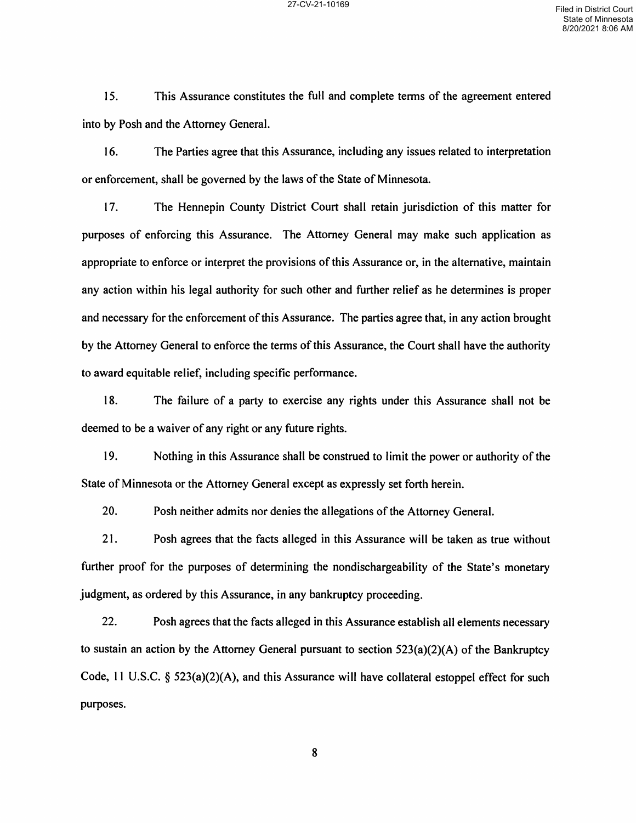15. This Assurance constitutes the full and complete terms of the agreement entered into by Posh and the Attorney General.

l6. The Parties agree that this Assurance, including any issues related to interpretation or enforcement, shall be governed by the laws of the State of Minnesota.

l7. The Hennepin County District Court shall retain jurisdiction of this matter for purposes of enforcing this Assurance. The Attorney General may make such application as appropriate to enforce or interpret the provisions of this Assurance or, in the alternative, maintain any action within his legal authority for such other and further relief as he determines is proper and necessary for the enforcement of this Assurance. The parties agree that, in any action brought by the Attorney General to enforce the terms of this Assurance, the Court shall have the authority to award equitable relief, including specific performance.

18. The failure of a party to exercise any rights under this Assurance shall not be deemed to be a waiver of any right or any future rights.

l9. Nothing in this Assurance shall be construed to limit the power or authority of the State of Minnesota or the Attorney General except as expressly set forth herein.

20. Posh neither admits nor denies the allegations of the Attorney General.

21. Posh agrees that the facts alleged in this Assurance will be taken as true without further proof for the purposes of determining the nondischargeability of the State's monetary judgment, as ordered by this Assurance, in any bankruptcy proceeding.

22. Posh agrees that the facts alleged in this Assurance establish all elements necessary to sustain an action by the Attorney General pursuant to section 523(a)(2)(A) of the Bankruptcy Code, 11 U.S.C.  $\S$  523(a)(2)(A), and this Assurance will have collateral estoppel effect for such purposes.

8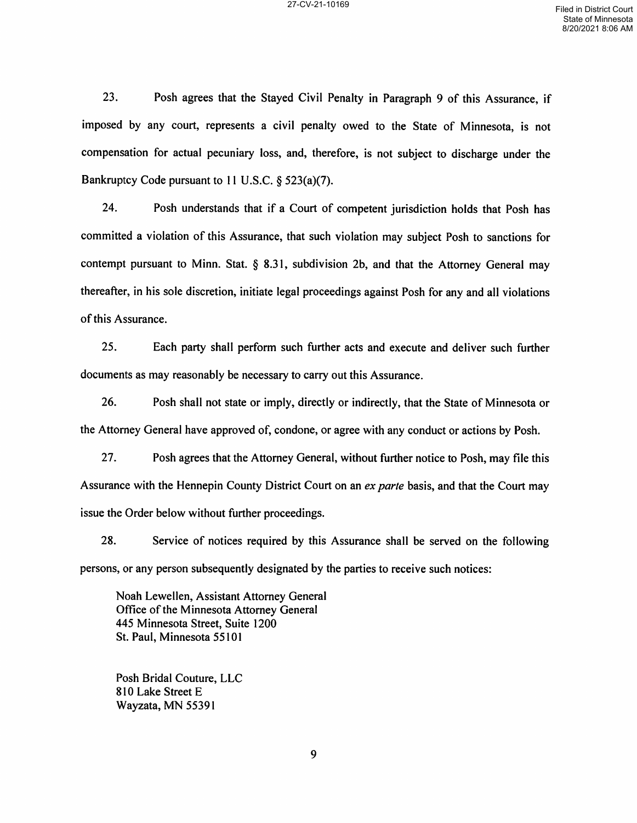23. Posh agrees that the Stayed Civil Penalty in Paragraph 9 of this Assurance, if imposed by any court, represents a civil penalty owed to the State of Minnesota, is not compensation for actual pecuniary loss, and, therefore, is not subject to discharge under the Bankruptcy Code pursuant to 11 U.S.C. § 523(a)(7).

24. Posh understands that if a Court of competent jurisdiction holds that Posh has committed a violation of this Assurance, that such violation may subject Posh to sanctions for contempt pursuant to Minn. Stat. § 8.31, subdivision 2b, and that the Attorney General may thereafier, in his sole discretion, initiate legal proceedings against Posh for any and all violations of this Assurance.

25. Each party shall perform such further acts and execute and deliver such further documents as may reasonably be necessary to carry out this Assurance.

26. Posh shall not state or imply, directly or indirectly, that the State of Minnesota or the Attorney General have approved of, condone, or agree with any conduct or actions by Posh.

27. Posh agrees that the Attorney General, without further notice to Posh, may file this Assurance with the Hennepin County District Court on an ex parte basis, and that the Court may issue the Order below without further proceedings.

28. Service of notices required by this Assurance shall be served on the following persons, or any person subsequently designated by the parties to to receive such notices:

Noah Lewellen, Assistant Attorney General Office of the Minnesota Attorney General 445 Minnesota Street, Suite 1200 St. Paul, Minnesota 55101

Posh Bridal Couture, LLC 810 Lake Street Wayzata, MN 55391

9